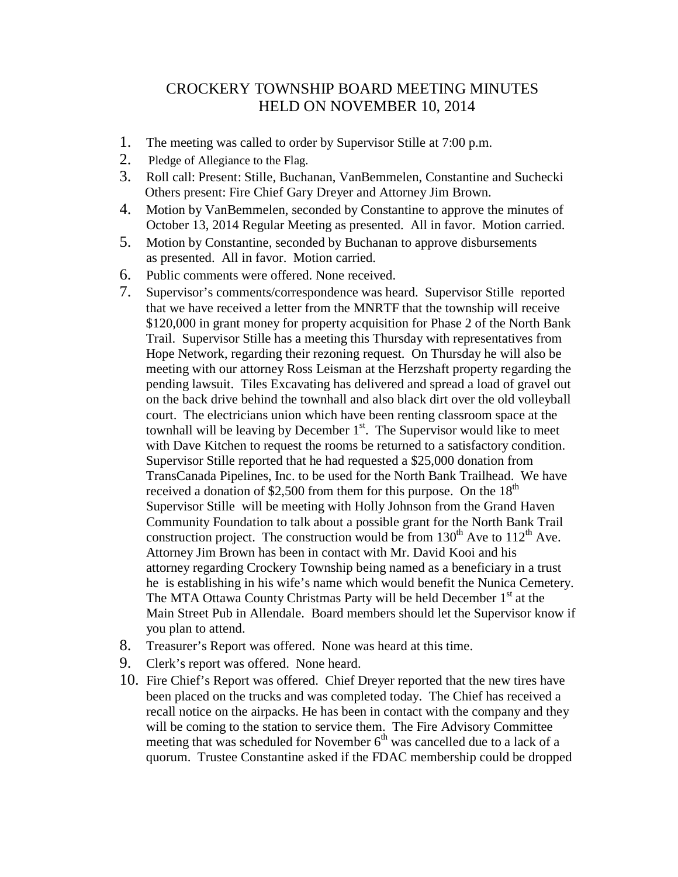## CROCKERY TOWNSHIP BOARD MEETING MINUTES HELD ON NOVEMBER 10, 2014

- 1. The meeting was called to order by Supervisor Stille at 7:00 p.m.
- 2. Pledge of Allegiance to the Flag.
- 3. Roll call: Present: Stille, Buchanan, VanBemmelen, Constantine and Suchecki Others present: Fire Chief Gary Dreyer and Attorney Jim Brown.
- 4. Motion by VanBemmelen, seconded by Constantine to approve the minutes of October 13, 2014 Regular Meeting as presented. All in favor. Motion carried.
- 5. Motion by Constantine, seconded by Buchanan to approve disbursements as presented. All in favor. Motion carried.
- 6. Public comments were offered. None received.
- 7. Supervisor's comments/correspondence was heard. Supervisor Stille reported that we have received a letter from the MNRTF that the township will receive \$120,000 in grant money for property acquisition for Phase 2 of the North Bank Trail. Supervisor Stille has a meeting this Thursday with representatives from Hope Network, regarding their rezoning request. On Thursday he will also be meeting with our attorney Ross Leisman at the Herzshaft property regarding the pending lawsuit. Tiles Excavating has delivered and spread a load of gravel out on the back drive behind the townhall and also black dirt over the old volleyball court. The electricians union which have been renting classroom space at the townhall will be leaving by December  $1<sup>st</sup>$ . The Supervisor would like to meet with Dave Kitchen to request the rooms be returned to a satisfactory condition. Supervisor Stille reported that he had requested a \$25,000 donation from TransCanada Pipelines, Inc. to be used for the North Bank Trailhead. We have received a donation of \$2,500 from them for this purpose. On the  $18<sup>th</sup>$  Supervisor Stille will be meeting with Holly Johnson from the Grand Haven Community Foundation to talk about a possible grant for the North Bank Trail construction project. The construction would be from  $130<sup>th</sup>$  Ave to  $112<sup>th</sup>$  Ave. Attorney Jim Brown has been in contact with Mr. David Kooi and his attorney regarding Crockery Township being named as a beneficiary in a trust he is establishing in his wife's name which would benefit the Nunica Cemetery. The MTA Ottawa County Christmas Party will be held December  $1<sup>st</sup>$  at the Main Street Pub in Allendale. Board members should let the Supervisor know if you plan to attend.
- 8. Treasurer's Report was offered. None was heard at this time.
- 9. Clerk's report was offered. None heard.
- 10. Fire Chief's Report was offered. Chief Dreyer reported that the new tires have been placed on the trucks and was completed today. The Chief has received a recall notice on the airpacks. He has been in contact with the company and they will be coming to the station to service them. The Fire Advisory Committee meeting that was scheduled for November  $6<sup>th</sup>$  was cancelled due to a lack of a quorum. Trustee Constantine asked if the FDAC membership could be dropped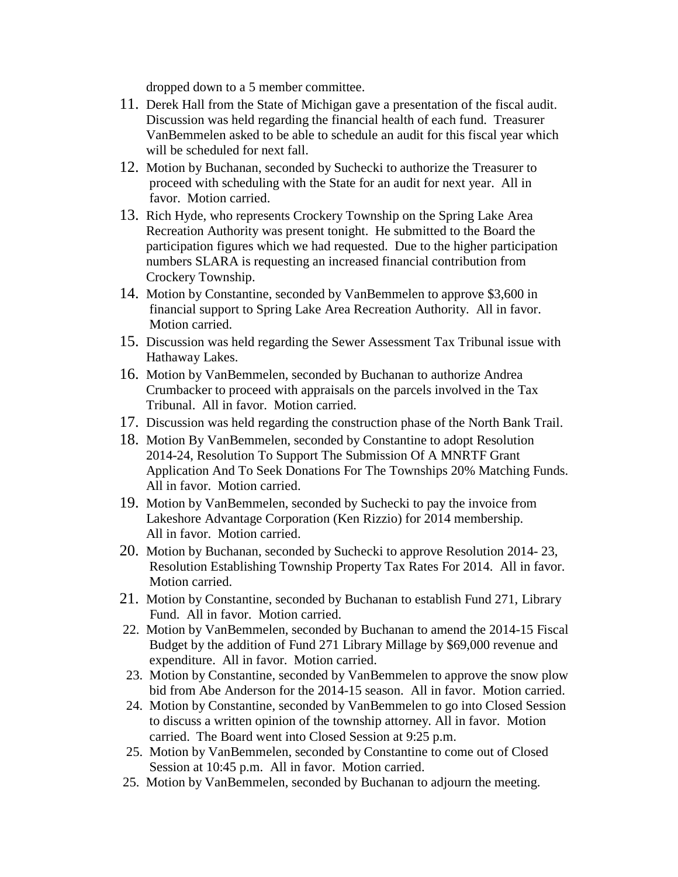dropped down to a 5 member committee.

- 11. Derek Hall from the State of Michigan gave a presentation of the fiscal audit. Discussion was held regarding the financial health of each fund. Treasurer VanBemmelen asked to be able to schedule an audit for this fiscal year which will be scheduled for next fall.
- 12. Motion by Buchanan, seconded by Suchecki to authorize the Treasurer to proceed with scheduling with the State for an audit for next year. All in favor. Motion carried.
- 13. Rich Hyde, who represents Crockery Township on the Spring Lake Area Recreation Authority was present tonight. He submitted to the Board the participation figures which we had requested. Due to the higher participation numbers SLARA is requesting an increased financial contribution from Crockery Township.
- 14. Motion by Constantine, seconded by VanBemmelen to approve \$3,600 in financial support to Spring Lake Area Recreation Authority. All in favor. Motion carried.
- 15. Discussion was held regarding the Sewer Assessment Tax Tribunal issue with Hathaway Lakes.
- 16. Motion by VanBemmelen, seconded by Buchanan to authorize Andrea Crumbacker to proceed with appraisals on the parcels involved in the Tax Tribunal. All in favor. Motion carried.
- 17. Discussion was held regarding the construction phase of the North Bank Trail.
- 18. Motion By VanBemmelen, seconded by Constantine to adopt Resolution 2014-24, Resolution To Support The Submission Of A MNRTF Grant Application And To Seek Donations For The Townships 20% Matching Funds. All in favor. Motion carried.
- 19. Motion by VanBemmelen, seconded by Suchecki to pay the invoice from Lakeshore Advantage Corporation (Ken Rizzio) for 2014 membership. All in favor. Motion carried.
- 20. Motion by Buchanan, seconded by Suchecki to approve Resolution 2014- 23, Resolution Establishing Township Property Tax Rates For 2014. All in favor. Motion carried.
- 21. Motion by Constantine, seconded by Buchanan to establish Fund 271, Library Fund. All in favor. Motion carried.
- 22. Motion by VanBemmelen, seconded by Buchanan to amend the 2014-15 Fiscal Budget by the addition of Fund 271 Library Millage by \$69,000 revenue and expenditure. All in favor. Motion carried.
- 23. Motion by Constantine, seconded by VanBemmelen to approve the snow plow bid from Abe Anderson for the 2014-15 season. All in favor. Motion carried.
- 24. Motion by Constantine, seconded by VanBemmelen to go into Closed Session to discuss a written opinion of the township attorney. All in favor. Motion carried. The Board went into Closed Session at 9:25 p.m.
- 25. Motion by VanBemmelen, seconded by Constantine to come out of Closed Session at 10:45 p.m. All in favor. Motion carried.
- 25. Motion by VanBemmelen, seconded by Buchanan to adjourn the meeting.